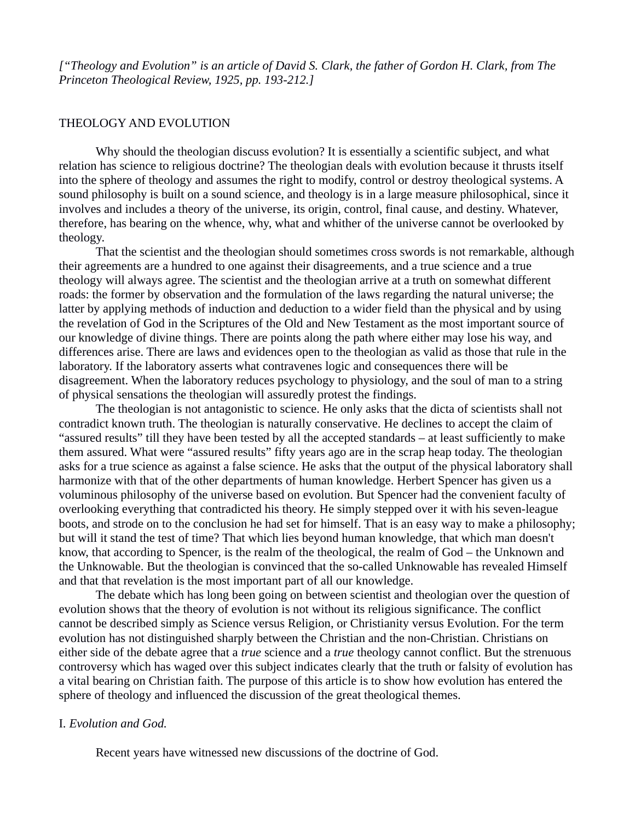*["Theology and Evolution" is an article of David S. Clark, the father of Gordon H. Clark, from The Princeton Theological Review, 1925, pp. 193-212.]*

### THEOLOGY AND EVOLUTION

Why should the theologian discuss evolution? It is essentially a scientific subject, and what relation has science to religious doctrine? The theologian deals with evolution because it thrusts itself into the sphere of theology and assumes the right to modify, control or destroy theological systems. A sound philosophy is built on a sound science, and theology is in a large measure philosophical, since it involves and includes a theory of the universe, its origin, control, final cause, and destiny. Whatever, therefore, has bearing on the whence, why, what and whither of the universe cannot be overlooked by theology.

That the scientist and the theologian should sometimes cross swords is not remarkable, although their agreements are a hundred to one against their disagreements, and a true science and a true theology will always agree. The scientist and the theologian arrive at a truth on somewhat different roads: the former by observation and the formulation of the laws regarding the natural universe; the latter by applying methods of induction and deduction to a wider field than the physical and by using the revelation of God in the Scriptures of the Old and New Testament as the most important source of our knowledge of divine things. There are points along the path where either may lose his way, and differences arise. There are laws and evidences open to the theologian as valid as those that rule in the laboratory. If the laboratory asserts what contravenes logic and consequences there will be disagreement. When the laboratory reduces psychology to physiology, and the soul of man to a string of physical sensations the theologian will assuredly protest the findings.

The theologian is not antagonistic to science. He only asks that the dicta of scientists shall not contradict known truth. The theologian is naturally conservative. He declines to accept the claim of "assured results" till they have been tested by all the accepted standards – at least sufficiently to make them assured. What were "assured results" fifty years ago are in the scrap heap today. The theologian asks for a true science as against a false science. He asks that the output of the physical laboratory shall harmonize with that of the other departments of human knowledge. Herbert Spencer has given us a voluminous philosophy of the universe based on evolution. But Spencer had the convenient faculty of overlooking everything that contradicted his theory. He simply stepped over it with his seven-league boots, and strode on to the conclusion he had set for himself. That is an easy way to make a philosophy; but will it stand the test of time? That which lies beyond human knowledge, that which man doesn't know, that according to Spencer, is the realm of the theological, the realm of God – the Unknown and the Unknowable. But the theologian is convinced that the so-called Unknowable has revealed Himself and that that revelation is the most important part of all our knowledge.

The debate which has long been going on between scientist and theologian over the question of evolution shows that the theory of evolution is not without its religious significance. The conflict cannot be described simply as Science versus Religion, or Christianity versus Evolution. For the term evolution has not distinguished sharply between the Christian and the non-Christian. Christians on either side of the debate agree that a *true* science and a *true* theology cannot conflict. But the strenuous controversy which has waged over this subject indicates clearly that the truth or falsity of evolution has a vital bearing on Christian faith. The purpose of this article is to show how evolution has entered the sphere of theology and influenced the discussion of the great theological themes.

# I. *Evolution and God.*

Recent years have witnessed new discussions of the doctrine of God.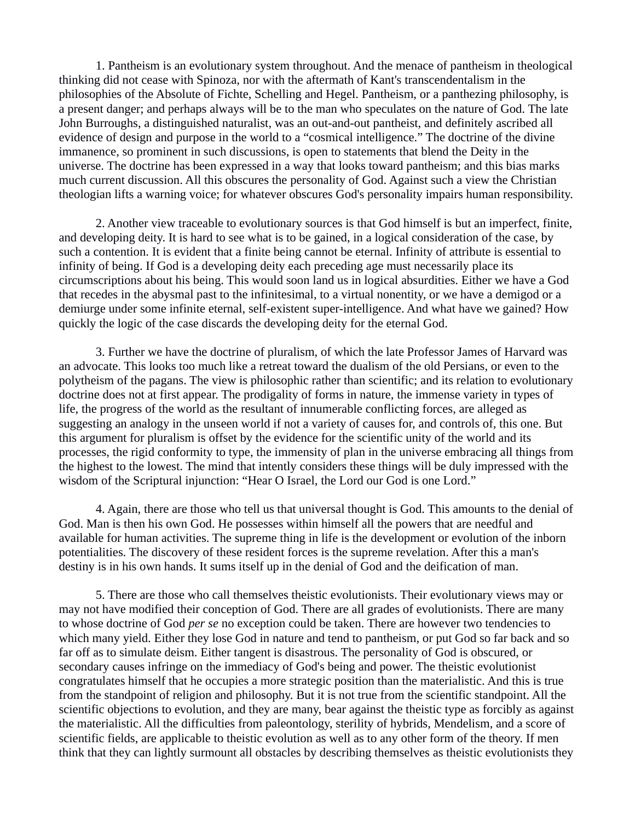1. Pantheism is an evolutionary system throughout. And the menace of pantheism in theological thinking did not cease with Spinoza, nor with the aftermath of Kant's transcendentalism in the philosophies of the Absolute of Fichte, Schelling and Hegel. Pantheism, or a panthezing philosophy, is a present danger; and perhaps always will be to the man who speculates on the nature of God. The late John Burroughs, a distinguished naturalist, was an out-and-out pantheist, and definitely ascribed all evidence of design and purpose in the world to a "cosmical intelligence." The doctrine of the divine immanence, so prominent in such discussions, is open to statements that blend the Deity in the universe. The doctrine has been expressed in a way that looks toward pantheism; and this bias marks much current discussion. All this obscures the personality of God. Against such a view the Christian theologian lifts a warning voice; for whatever obscures God's personality impairs human responsibility.

2. Another view traceable to evolutionary sources is that God himself is but an imperfect, finite, and developing deity. It is hard to see what is to be gained, in a logical consideration of the case, by such a contention. It is evident that a finite being cannot be eternal. Infinity of attribute is essential to infinity of being. If God is a developing deity each preceding age must necessarily place its circumscriptions about his being. This would soon land us in logical absurdities. Either we have a God that recedes in the abysmal past to the infinitesimal, to a virtual nonentity, or we have a demigod or a demiurge under some infinite eternal, self-existent super-intelligence. And what have we gained? How quickly the logic of the case discards the developing deity for the eternal God.

3. Further we have the doctrine of pluralism, of which the late Professor James of Harvard was an advocate. This looks too much like a retreat toward the dualism of the old Persians, or even to the polytheism of the pagans. The view is philosophic rather than scientific; and its relation to evolutionary doctrine does not at first appear. The prodigality of forms in nature, the immense variety in types of life, the progress of the world as the resultant of innumerable conflicting forces, are alleged as suggesting an analogy in the unseen world if not a variety of causes for, and controls of, this one. But this argument for pluralism is offset by the evidence for the scientific unity of the world and its processes, the rigid conformity to type, the immensity of plan in the universe embracing all things from the highest to the lowest. The mind that intently considers these things will be duly impressed with the wisdom of the Scriptural injunction: "Hear O Israel, the Lord our God is one Lord."

4. Again, there are those who tell us that universal thought is God. This amounts to the denial of God. Man is then his own God. He possesses within himself all the powers that are needful and available for human activities. The supreme thing in life is the development or evolution of the inborn potentialities. The discovery of these resident forces is the supreme revelation. After this a man's destiny is in his own hands. It sums itself up in the denial of God and the deification of man.

5. There are those who call themselves theistic evolutionists. Their evolutionary views may or may not have modified their conception of God. There are all grades of evolutionists. There are many to whose doctrine of God *per se* no exception could be taken. There are however two tendencies to which many yield. Either they lose God in nature and tend to pantheism, or put God so far back and so far off as to simulate deism. Either tangent is disastrous. The personality of God is obscured, or secondary causes infringe on the immediacy of God's being and power. The theistic evolutionist congratulates himself that he occupies a more strategic position than the materialistic. And this is true from the standpoint of religion and philosophy. But it is not true from the scientific standpoint. All the scientific objections to evolution, and they are many, bear against the theistic type as forcibly as against the materialistic. All the difficulties from paleontology, sterility of hybrids, Mendelism, and a score of scientific fields, are applicable to theistic evolution as well as to any other form of the theory. If men think that they can lightly surmount all obstacles by describing themselves as theistic evolutionists they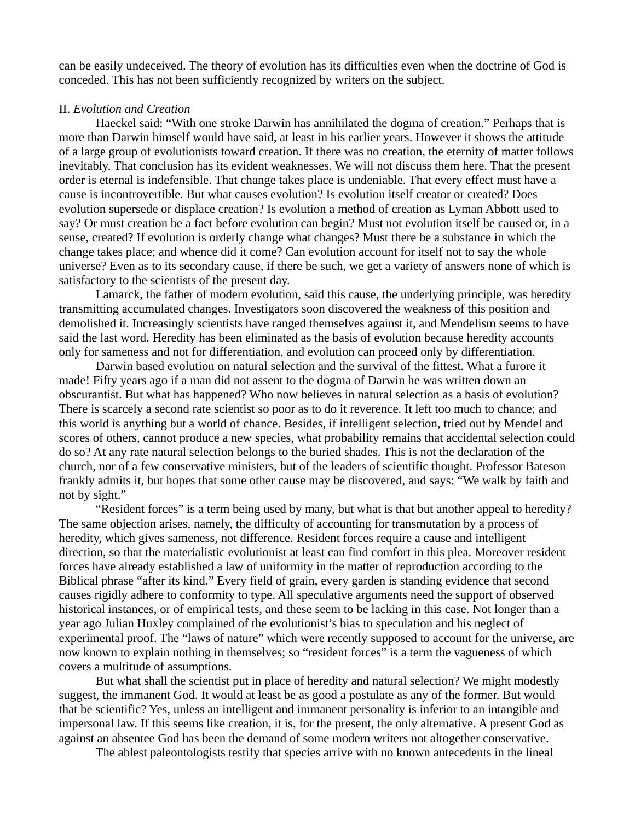can be easily undeceived. The theory of evolution has its difficulties even when the doctrine of God is conceded. This has not been sufficiently recognized by writers on the subject.

### II. *Evolution and Creation*

Haeckel said: "With one stroke Darwin has annihilated the dogma of creation." Perhaps that is more than Darwin himself would have said, at least in his earlier years. However it shows the attitude of a large group of evolutionists toward creation. If there was no creation, the eternity of matter follows inevitably. That conclusion has its evident weaknesses. We will not discuss them here. That the present order is eternal is indefensible. That change takes place is undeniable. That every effect must have a cause is incontrovertible. But what causes evolution? Is evolution itself creator or created? Does evolution supersede or displace creation? Is evolution a method of creation as Lyman Abbott used to say? Or must creation be a fact before evolution can begin? Must not evolution itself be caused or, in a sense, created? If evolution is orderly change what changes? Must there be a substance in which the change takes place; and whence did it come? Can evolution account for itself not to say the whole universe? Even as to its secondary cause, if there be such, we get a variety of answers none of which is satisfactory to the scientists of the present day.

Lamarck, the father of modern evolution, said this cause, the underlying principle, was heredity transmitting accumulated changes. Investigators soon discovered the weakness of this position and demolished it. Increasingly scientists have ranged themselves against it, and Mendelism seems to have said the last word. Heredity has been eliminated as the basis of evolution because heredity accounts only for sameness and not for differentiation, and evolution can proceed only by differentiation.

Darwin based evolution on natural selection and the survival of the fittest. What a furore it made! Fifty years ago if a man did not assent to the dogma of Darwin he was written down an obscurantist. But what has happened? Who now believes in natural selection as a basis of evolution? There is scarcely a second rate scientist so poor as to do it reverence. It left too much to chance; and this world is anything but a world of chance. Besides, if intelligent selection, tried out by Mendel and scores of others, cannot produce a new species, what probability remains that accidental selection could do so? At any rate natural selection belongs to the buried shades. This is not the declaration of the church, nor of a few conservative ministers, but of the leaders of scientific thought. Professor Bateson frankly admits it, but hopes that some other cause may be discovered, and says: "We walk by faith and not by sight."

"Resident forces" is a term being used by many, but what is that but another appeal to heredity? The same objection arises, namely, the difficulty of accounting for transmutation by a process of heredity, which gives sameness, not difference. Resident forces require a cause and intelligent direction, so that the materialistic evolutionist at least can find comfort in this plea. Moreover resident forces have already established a law of uniformity in the matter of reproduction according to the Biblical phrase "after its kind." Every field of grain, every garden is standing evidence that second causes rigidly adhere to conformity to type. All speculative arguments need the support of observed historical instances, or of empirical tests, and these seem to be lacking in this case. Not longer than a year ago Julian Huxley complained of the evolutionist's bias to speculation and his neglect of experimental proof. The "laws of nature" which were recently supposed to account for the universe, are now known to explain nothing in themselves; so "resident forces" is a term the vagueness of which covers a multitude of assumptions.

But what shall the scientist put in place of heredity and natural selection? We might modestly suggest, the immanent God. It would at least be as good a postulate as any of the former. But would that be scientific? Yes, unless an intelligent and immanent personality is inferior to an intangible and impersonal law. If this seems like creation, it is, for the present, the only alternative. A present God as against an absentee God has been the demand of some modern writers not altogether conservative.

The ablest paleontologists testify that species arrive with no known antecedents in the lineal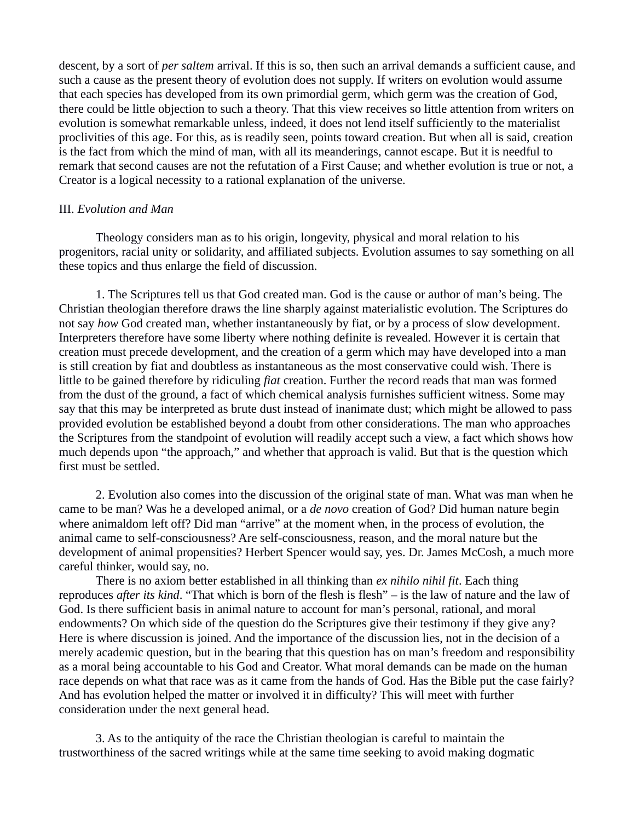descent, by a sort of *per saltem* arrival. If this is so, then such an arrival demands a sufficient cause, and such a cause as the present theory of evolution does not supply. If writers on evolution would assume that each species has developed from its own primordial germ, which germ was the creation of God, there could be little objection to such a theory. That this view receives so little attention from writers on evolution is somewhat remarkable unless, indeed, it does not lend itself sufficiently to the materialist proclivities of this age. For this, as is readily seen, points toward creation. But when all is said, creation is the fact from which the mind of man, with all its meanderings, cannot escape. But it is needful to remark that second causes are not the refutation of a First Cause; and whether evolution is true or not, a Creator is a logical necessity to a rational explanation of the universe.

## III. *Evolution and Man*

Theology considers man as to his origin, longevity, physical and moral relation to his progenitors, racial unity or solidarity, and affiliated subjects. Evolution assumes to say something on all these topics and thus enlarge the field of discussion.

1. The Scriptures tell us that God created man. God is the cause or author of man's being. The Christian theologian therefore draws the line sharply against materialistic evolution. The Scriptures do not say *how* God created man, whether instantaneously by fiat, or by a process of slow development. Interpreters therefore have some liberty where nothing definite is revealed. However it is certain that creation must precede development, and the creation of a germ which may have developed into a man is still creation by fiat and doubtless as instantaneous as the most conservative could wish. There is little to be gained therefore by ridiculing *fiat* creation. Further the record reads that man was formed from the dust of the ground, a fact of which chemical analysis furnishes sufficient witness. Some may say that this may be interpreted as brute dust instead of inanimate dust; which might be allowed to pass provided evolution be established beyond a doubt from other considerations. The man who approaches the Scriptures from the standpoint of evolution will readily accept such a view, a fact which shows how much depends upon "the approach," and whether that approach is valid. But that is the question which first must be settled.

2. Evolution also comes into the discussion of the original state of man. What was man when he came to be man? Was he a developed animal, or a *de novo* creation of God? Did human nature begin where animaldom left off? Did man "arrive" at the moment when, in the process of evolution, the animal came to self-consciousness? Are self-consciousness, reason, and the moral nature but the development of animal propensities? Herbert Spencer would say, yes. Dr. James McCosh, a much more careful thinker, would say, no.

There is no axiom better established in all thinking than *ex nihilo nihil fit*. Each thing reproduces *after its kind*. "That which is born of the flesh is flesh" – is the law of nature and the law of God. Is there sufficient basis in animal nature to account for man's personal, rational, and moral endowments? On which side of the question do the Scriptures give their testimony if they give any? Here is where discussion is joined. And the importance of the discussion lies, not in the decision of a merely academic question, but in the bearing that this question has on man's freedom and responsibility as a moral being accountable to his God and Creator. What moral demands can be made on the human race depends on what that race was as it came from the hands of God. Has the Bible put the case fairly? And has evolution helped the matter or involved it in difficulty? This will meet with further consideration under the next general head.

3. As to the antiquity of the race the Christian theologian is careful to maintain the trustworthiness of the sacred writings while at the same time seeking to avoid making dogmatic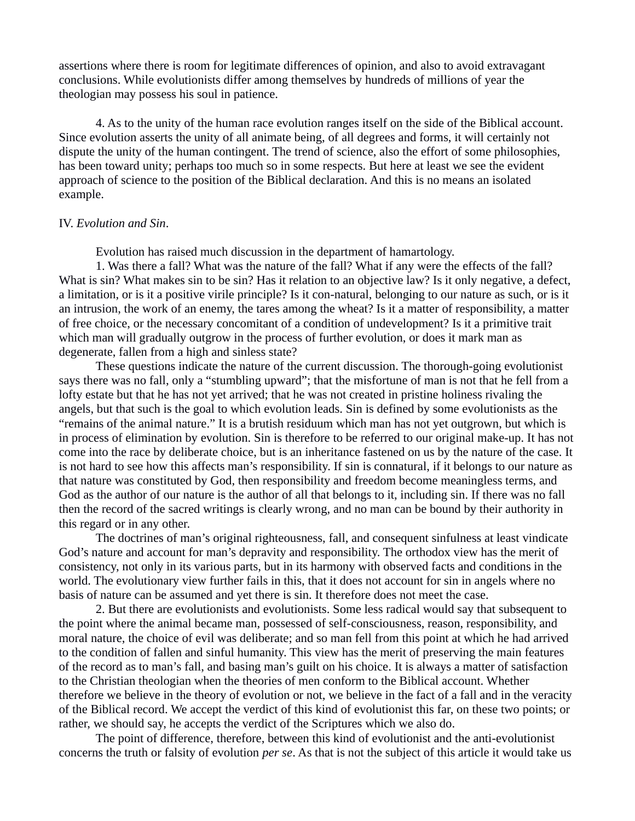assertions where there is room for legitimate differences of opinion, and also to avoid extravagant conclusions. While evolutionists differ among themselves by hundreds of millions of year the theologian may possess his soul in patience.

4. As to the unity of the human race evolution ranges itself on the side of the Biblical account. Since evolution asserts the unity of all animate being, of all degrees and forms, it will certainly not dispute the unity of the human contingent. The trend of science, also the effort of some philosophies, has been toward unity; perhaps too much so in some respects. But here at least we see the evident approach of science to the position of the Biblical declaration. And this is no means an isolated example.

# IV. *Evolution and Sin*.

Evolution has raised much discussion in the department of hamartology.

1. Was there a fall? What was the nature of the fall? What if any were the effects of the fall? What is sin? What makes sin to be sin? Has it relation to an objective law? Is it only negative, a defect, a limitation, or is it a positive virile principle? Is it con-natural, belonging to our nature as such, or is it an intrusion, the work of an enemy, the tares among the wheat? Is it a matter of responsibility, a matter of free choice, or the necessary concomitant of a condition of undevelopment? Is it a primitive trait which man will gradually outgrow in the process of further evolution, or does it mark man as degenerate, fallen from a high and sinless state?

These questions indicate the nature of the current discussion. The thorough-going evolutionist says there was no fall, only a "stumbling upward"; that the misfortune of man is not that he fell from a lofty estate but that he has not yet arrived; that he was not created in pristine holiness rivaling the angels, but that such is the goal to which evolution leads. Sin is defined by some evolutionists as the "remains of the animal nature." It is a brutish residuum which man has not yet outgrown, but which is in process of elimination by evolution. Sin is therefore to be referred to our original make-up. It has not come into the race by deliberate choice, but is an inheritance fastened on us by the nature of the case. It is not hard to see how this affects man's responsibility. If sin is connatural, if it belongs to our nature as that nature was constituted by God, then responsibility and freedom become meaningless terms, and God as the author of our nature is the author of all that belongs to it, including sin. If there was no fall then the record of the sacred writings is clearly wrong, and no man can be bound by their authority in this regard or in any other.

The doctrines of man's original righteousness, fall, and consequent sinfulness at least vindicate God's nature and account for man's depravity and responsibility. The orthodox view has the merit of consistency, not only in its various parts, but in its harmony with observed facts and conditions in the world. The evolutionary view further fails in this, that it does not account for sin in angels where no basis of nature can be assumed and yet there is sin. It therefore does not meet the case.

2. But there are evolutionists and evolutionists. Some less radical would say that subsequent to the point where the animal became man, possessed of self-consciousness, reason, responsibility, and moral nature, the choice of evil was deliberate; and so man fell from this point at which he had arrived to the condition of fallen and sinful humanity. This view has the merit of preserving the main features of the record as to man's fall, and basing man's guilt on his choice. It is always a matter of satisfaction to the Christian theologian when the theories of men conform to the Biblical account. Whether therefore we believe in the theory of evolution or not, we believe in the fact of a fall and in the veracity of the Biblical record. We accept the verdict of this kind of evolutionist this far, on these two points; or rather, we should say, he accepts the verdict of the Scriptures which we also do.

The point of difference, therefore, between this kind of evolutionist and the anti-evolutionist concerns the truth or falsity of evolution *per se*. As that is not the subject of this article it would take us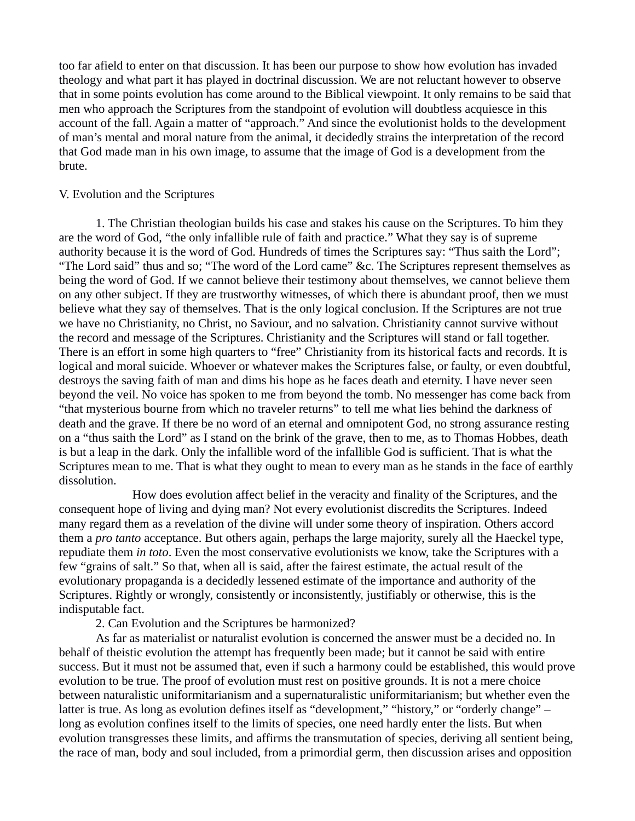too far afield to enter on that discussion. It has been our purpose to show how evolution has invaded theology and what part it has played in doctrinal discussion. We are not reluctant however to observe that in some points evolution has come around to the Biblical viewpoint. It only remains to be said that men who approach the Scriptures from the standpoint of evolution will doubtless acquiesce in this account of the fall. Again a matter of "approach." And since the evolutionist holds to the development of man's mental and moral nature from the animal, it decidedly strains the interpretation of the record that God made man in his own image, to assume that the image of God is a development from the brute.

# V. Evolution and the Scriptures

1. The Christian theologian builds his case and stakes his cause on the Scriptures. To him they are the word of God, "the only infallible rule of faith and practice." What they say is of supreme authority because it is the word of God. Hundreds of times the Scriptures say: "Thus saith the Lord"; "The Lord said" thus and so; "The word of the Lord came" &c. The Scriptures represent themselves as being the word of God. If we cannot believe their testimony about themselves, we cannot believe them on any other subject. If they are trustworthy witnesses, of which there is abundant proof, then we must believe what they say of themselves. That is the only logical conclusion. If the Scriptures are not true we have no Christianity, no Christ, no Saviour, and no salvation. Christianity cannot survive without the record and message of the Scriptures. Christianity and the Scriptures will stand or fall together. There is an effort in some high quarters to "free" Christianity from its historical facts and records. It is logical and moral suicide. Whoever or whatever makes the Scriptures false, or faulty, or even doubtful, destroys the saving faith of man and dims his hope as he faces death and eternity. I have never seen beyond the veil. No voice has spoken to me from beyond the tomb. No messenger has come back from "that mysterious bourne from which no traveler returns" to tell me what lies behind the darkness of death and the grave. If there be no word of an eternal and omnipotent God, no strong assurance resting on a "thus saith the Lord" as I stand on the brink of the grave, then to me, as to Thomas Hobbes, death is but a leap in the dark. Only the infallible word of the infallible God is sufficient. That is what the Scriptures mean to me. That is what they ought to mean to every man as he stands in the face of earthly dissolution.

How does evolution affect belief in the veracity and finality of the Scriptures, and the consequent hope of living and dying man? Not every evolutionist discredits the Scriptures. Indeed many regard them as a revelation of the divine will under some theory of inspiration. Others accord them a *pro tanto* acceptance. But others again, perhaps the large majority, surely all the Haeckel type, repudiate them *in toto*. Even the most conservative evolutionists we know, take the Scriptures with a few "grains of salt." So that, when all is said, after the fairest estimate, the actual result of the evolutionary propaganda is a decidedly lessened estimate of the importance and authority of the Scriptures. Rightly or wrongly, consistently or inconsistently, justifiably or otherwise, this is the indisputable fact.

2. Can Evolution and the Scriptures be harmonized?

As far as materialist or naturalist evolution is concerned the answer must be a decided no. In behalf of theistic evolution the attempt has frequently been made; but it cannot be said with entire success. But it must not be assumed that, even if such a harmony could be established, this would prove evolution to be true. The proof of evolution must rest on positive grounds. It is not a mere choice between naturalistic uniformitarianism and a supernaturalistic uniformitarianism; but whether even the latter is true. As long as evolution defines itself as "development," "history," or "orderly change" – long as evolution confines itself to the limits of species, one need hardly enter the lists. But when evolution transgresses these limits, and affirms the transmutation of species, deriving all sentient being, the race of man, body and soul included, from a primordial germ, then discussion arises and opposition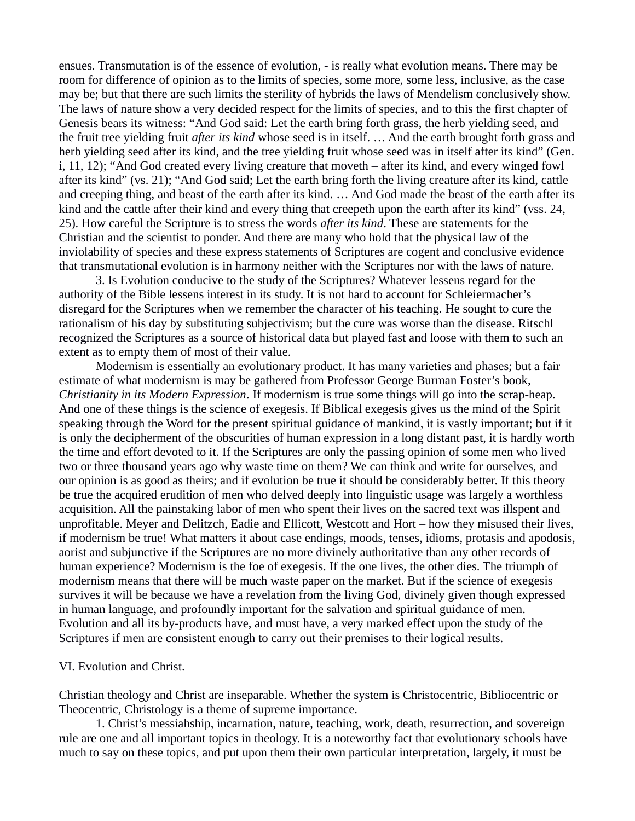ensues. Transmutation is of the essence of evolution, - is really what evolution means. There may be room for difference of opinion as to the limits of species, some more, some less, inclusive, as the case may be; but that there are such limits the sterility of hybrids the laws of Mendelism conclusively show. The laws of nature show a very decided respect for the limits of species, and to this the first chapter of Genesis bears its witness: "And God said: Let the earth bring forth grass, the herb yielding seed, and the fruit tree yielding fruit *after its kind* whose seed is in itself. … And the earth brought forth grass and herb yielding seed after its kind, and the tree yielding fruit whose seed was in itself after its kind" (Gen. i, 11, 12); "And God created every living creature that moveth – after its kind, and every winged fowl after its kind" (vs. 21); "And God said; Let the earth bring forth the living creature after its kind, cattle and creeping thing, and beast of the earth after its kind. … And God made the beast of the earth after its kind and the cattle after their kind and every thing that creepeth upon the earth after its kind" (vss. 24, 25). How careful the Scripture is to stress the words *after its kind*. These are statements for the Christian and the scientist to ponder. And there are many who hold that the physical law of the inviolability of species and these express statements of Scriptures are cogent and conclusive evidence that transmutational evolution is in harmony neither with the Scriptures nor with the laws of nature.

3. Is Evolution conducive to the study of the Scriptures? Whatever lessens regard for the authority of the Bible lessens interest in its study. It is not hard to account for Schleiermacher's disregard for the Scriptures when we remember the character of his teaching. He sought to cure the rationalism of his day by substituting subjectivism; but the cure was worse than the disease. Ritschl recognized the Scriptures as a source of historical data but played fast and loose with them to such an extent as to empty them of most of their value.

Modernism is essentially an evolutionary product. It has many varieties and phases; but a fair estimate of what modernism is may be gathered from Professor George Burman Foster's book, *Christianity in its Modern Expression*. If modernism is true some things will go into the scrap-heap. And one of these things is the science of exegesis. If Biblical exegesis gives us the mind of the Spirit speaking through the Word for the present spiritual guidance of mankind, it is vastly important; but if it is only the decipherment of the obscurities of human expression in a long distant past, it is hardly worth the time and effort devoted to it. If the Scriptures are only the passing opinion of some men who lived two or three thousand years ago why waste time on them? We can think and write for ourselves, and our opinion is as good as theirs; and if evolution be true it should be considerably better. If this theory be true the acquired erudition of men who delved deeply into linguistic usage was largely a worthless acquisition. All the painstaking labor of men who spent their lives on the sacred text was illspent and unprofitable. Meyer and Delitzch, Eadie and Ellicott, Westcott and Hort – how they misused their lives, if modernism be true! What matters it about case endings, moods, tenses, idioms, protasis and apodosis, aorist and subjunctive if the Scriptures are no more divinely authoritative than any other records of human experience? Modernism is the foe of exegesis. If the one lives, the other dies. The triumph of modernism means that there will be much waste paper on the market. But if the science of exegesis survives it will be because we have a revelation from the living God, divinely given though expressed in human language, and profoundly important for the salvation and spiritual guidance of men. Evolution and all its by-products have, and must have, a very marked effect upon the study of the Scriptures if men are consistent enough to carry out their premises to their logical results.

## VI. Evolution and Christ.

Christian theology and Christ are inseparable. Whether the system is Christocentric, Bibliocentric or Theocentric, Christology is a theme of supreme importance.

1. Christ's messiahship, incarnation, nature, teaching, work, death, resurrection, and sovereign rule are one and all important topics in theology. It is a noteworthy fact that evolutionary schools have much to say on these topics, and put upon them their own particular interpretation, largely, it must be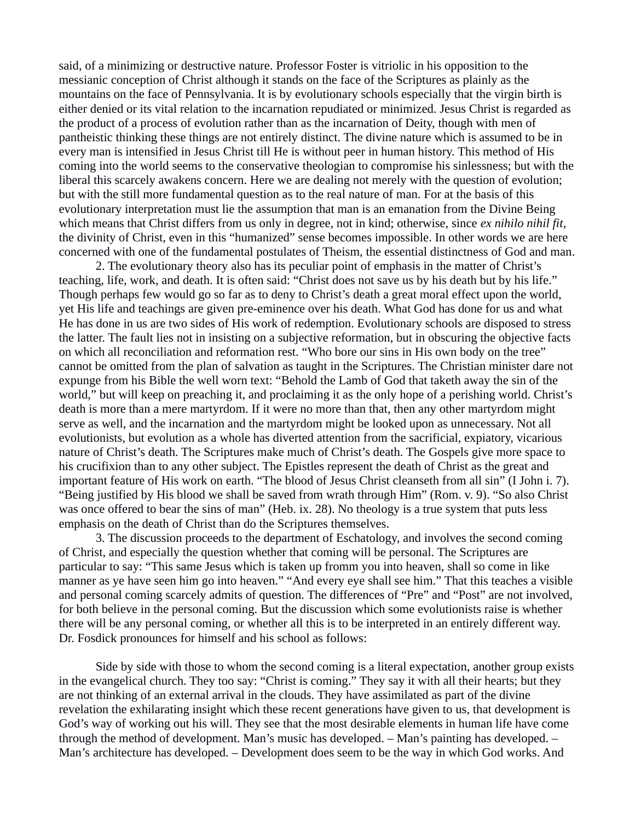said, of a minimizing or destructive nature. Professor Foster is vitriolic in his opposition to the messianic conception of Christ although it stands on the face of the Scriptures as plainly as the mountains on the face of Pennsylvania. It is by evolutionary schools especially that the virgin birth is either denied or its vital relation to the incarnation repudiated or minimized. Jesus Christ is regarded as the product of a process of evolution rather than as the incarnation of Deity, though with men of pantheistic thinking these things are not entirely distinct. The divine nature which is assumed to be in every man is intensified in Jesus Christ till He is without peer in human history. This method of His coming into the world seems to the conservative theologian to compromise his sinlessness; but with the liberal this scarcely awakens concern. Here we are dealing not merely with the question of evolution; but with the still more fundamental question as to the real nature of man. For at the basis of this evolutionary interpretation must lie the assumption that man is an emanation from the Divine Being which means that Christ differs from us only in degree, not in kind; otherwise, since *ex nihilo nihil fit*, the divinity of Christ, even in this "humanized" sense becomes impossible. In other words we are here concerned with one of the fundamental postulates of Theism, the essential distinctness of God and man.

2. The evolutionary theory also has its peculiar point of emphasis in the matter of Christ's teaching, life, work, and death. It is often said: "Christ does not save us by his death but by his life." Though perhaps few would go so far as to deny to Christ's death a great moral effect upon the world, yet His life and teachings are given pre-eminence over his death. What God has done for us and what He has done in us are two sides of His work of redemption. Evolutionary schools are disposed to stress the latter. The fault lies not in insisting on a subjective reformation, but in obscuring the objective facts on which all reconciliation and reformation rest. "Who bore our sins in His own body on the tree" cannot be omitted from the plan of salvation as taught in the Scriptures. The Christian minister dare not expunge from his Bible the well worn text: "Behold the Lamb of God that taketh away the sin of the world," but will keep on preaching it, and proclaiming it as the only hope of a perishing world. Christ's death is more than a mere martyrdom. If it were no more than that, then any other martyrdom might serve as well, and the incarnation and the martyrdom might be looked upon as unnecessary. Not all evolutionists, but evolution as a whole has diverted attention from the sacrificial, expiatory, vicarious nature of Christ's death. The Scriptures make much of Christ's death. The Gospels give more space to his crucifixion than to any other subject. The Epistles represent the death of Christ as the great and important feature of His work on earth. "The blood of Jesus Christ cleanseth from all sin" (I John i. 7). "Being justified by His blood we shall be saved from wrath through Him" (Rom. v. 9). "So also Christ was once offered to bear the sins of man" (Heb. ix. 28). No theology is a true system that puts less emphasis on the death of Christ than do the Scriptures themselves.

3. The discussion proceeds to the department of Eschatology, and involves the second coming of Christ, and especially the question whether that coming will be personal. The Scriptures are particular to say: "This same Jesus which is taken up fromm you into heaven, shall so come in like manner as ye have seen him go into heaven." "And every eye shall see him." That this teaches a visible and personal coming scarcely admits of question. The differences of "Pre" and "Post" are not involved, for both believe in the personal coming. But the discussion which some evolutionists raise is whether there will be any personal coming, or whether all this is to be interpreted in an entirely different way. Dr. Fosdick pronounces for himself and his school as follows:

Side by side with those to whom the second coming is a literal expectation, another group exists in the evangelical church. They too say: "Christ is coming." They say it with all their hearts; but they are not thinking of an external arrival in the clouds. They have assimilated as part of the divine revelation the exhilarating insight which these recent generations have given to us, that development is God's way of working out his will. They see that the most desirable elements in human life have come through the method of development. Man's music has developed. – Man's painting has developed. – Man's architecture has developed. – Development does seem to be the way in which God works. And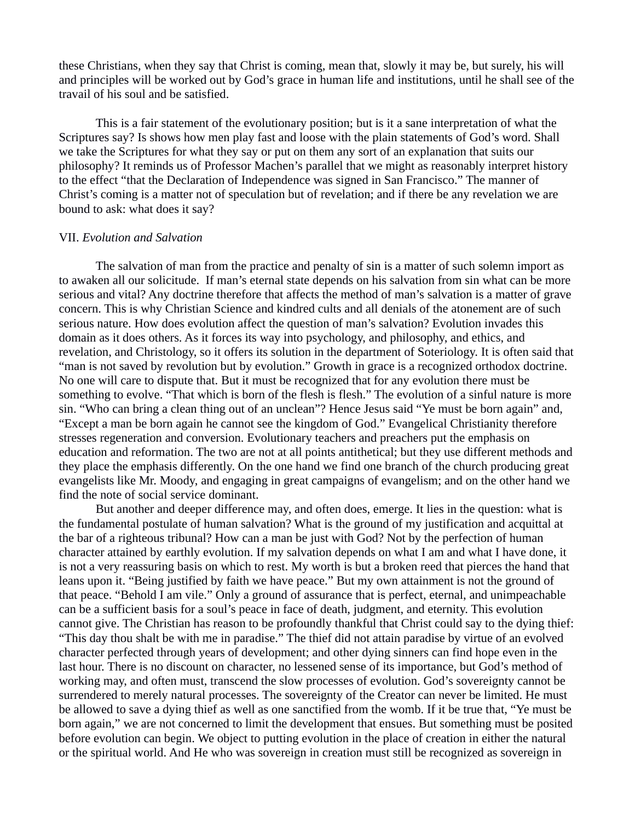these Christians, when they say that Christ is coming, mean that, slowly it may be, but surely, his will and principles will be worked out by God's grace in human life and institutions, until he shall see of the travail of his soul and be satisfied.

This is a fair statement of the evolutionary position; but is it a sane interpretation of what the Scriptures say? Is shows how men play fast and loose with the plain statements of God's word. Shall we take the Scriptures for what they say or put on them any sort of an explanation that suits our philosophy? It reminds us of Professor Machen's parallel that we might as reasonably interpret history to the effect "that the Declaration of Independence was signed in San Francisco." The manner of Christ's coming is a matter not of speculation but of revelation; and if there be any revelation we are bound to ask: what does it say?

#### VII. *Evolution and Salvation*

The salvation of man from the practice and penalty of sin is a matter of such solemn import as to awaken all our solicitude. If man's eternal state depends on his salvation from sin what can be more serious and vital? Any doctrine therefore that affects the method of man's salvation is a matter of grave concern. This is why Christian Science and kindred cults and all denials of the atonement are of such serious nature. How does evolution affect the question of man's salvation? Evolution invades this domain as it does others. As it forces its way into psychology, and philosophy, and ethics, and revelation, and Christology, so it offers its solution in the department of Soteriology. It is often said that "man is not saved by revolution but by evolution." Growth in grace is a recognized orthodox doctrine. No one will care to dispute that. But it must be recognized that for any evolution there must be something to evolve. "That which is born of the flesh is flesh." The evolution of a sinful nature is more sin. "Who can bring a clean thing out of an unclean"? Hence Jesus said "Ye must be born again" and, "Except a man be born again he cannot see the kingdom of God." Evangelical Christianity therefore stresses regeneration and conversion. Evolutionary teachers and preachers put the emphasis on education and reformation. The two are not at all points antithetical; but they use different methods and they place the emphasis differently. On the one hand we find one branch of the church producing great evangelists like Mr. Moody, and engaging in great campaigns of evangelism; and on the other hand we find the note of social service dominant.

But another and deeper difference may, and often does, emerge. It lies in the question: what is the fundamental postulate of human salvation? What is the ground of my justification and acquittal at the bar of a righteous tribunal? How can a man be just with God? Not by the perfection of human character attained by earthly evolution. If my salvation depends on what I am and what I have done, it is not a very reassuring basis on which to rest. My worth is but a broken reed that pierces the hand that leans upon it. "Being justified by faith we have peace." But my own attainment is not the ground of that peace. "Behold I am vile." Only a ground of assurance that is perfect, eternal, and unimpeachable can be a sufficient basis for a soul's peace in face of death, judgment, and eternity. This evolution cannot give. The Christian has reason to be profoundly thankful that Christ could say to the dying thief: "This day thou shalt be with me in paradise." The thief did not attain paradise by virtue of an evolved character perfected through years of development; and other dying sinners can find hope even in the last hour. There is no discount on character, no lessened sense of its importance, but God's method of working may, and often must, transcend the slow processes of evolution. God's sovereignty cannot be surrendered to merely natural processes. The sovereignty of the Creator can never be limited. He must be allowed to save a dying thief as well as one sanctified from the womb. If it be true that, "Ye must be born again," we are not concerned to limit the development that ensues. But something must be posited before evolution can begin. We object to putting evolution in the place of creation in either the natural or the spiritual world. And He who was sovereign in creation must still be recognized as sovereign in